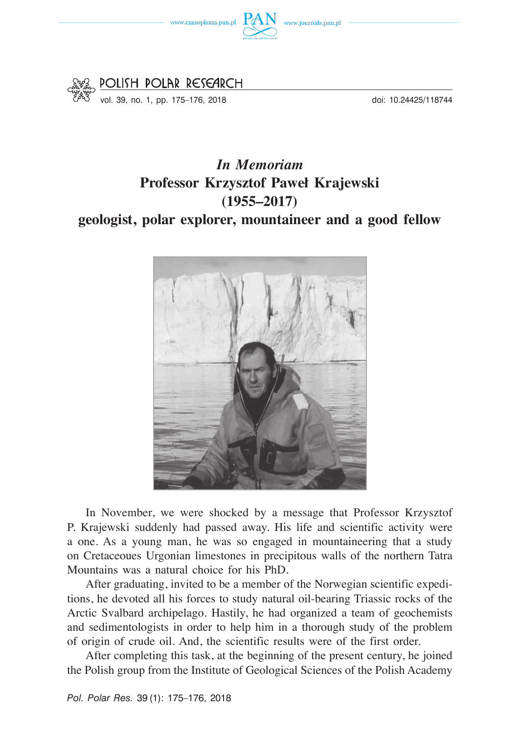



doi: 10.24425/118744

## *In Memoriam*  **Professor Krzysztof Paweł Krajewski (1955–2017) geologist, polar explorer, mountaineer and a good fellow**



In November, we were shocked by a message that Professor Krzysztof P. Krajewski suddenly had passed away. His life and scientific activity were a one. As a young man, he was so engaged in mountaineering that a study on Cretaceoues Urgonian limestones in precipitous walls of the northern Tatra Mountains was a natural choice for his PhD.

After graduating, invited to be a member of the Norwegian scientific expeditions, he devoted all his forces to study natural oil-bearing Triassic rocks of the Arctic Svalbard archipelago. Hastily, he had organized a team of geochemists and sedimentologists in order to help him in a thorough study of the problem of origin of crude oil. And, the scientific results were of the first order.

After completing this task, at the beginning of the present century, he joined the Polish group from the Institute of Geological Sciences of the Polish Academy